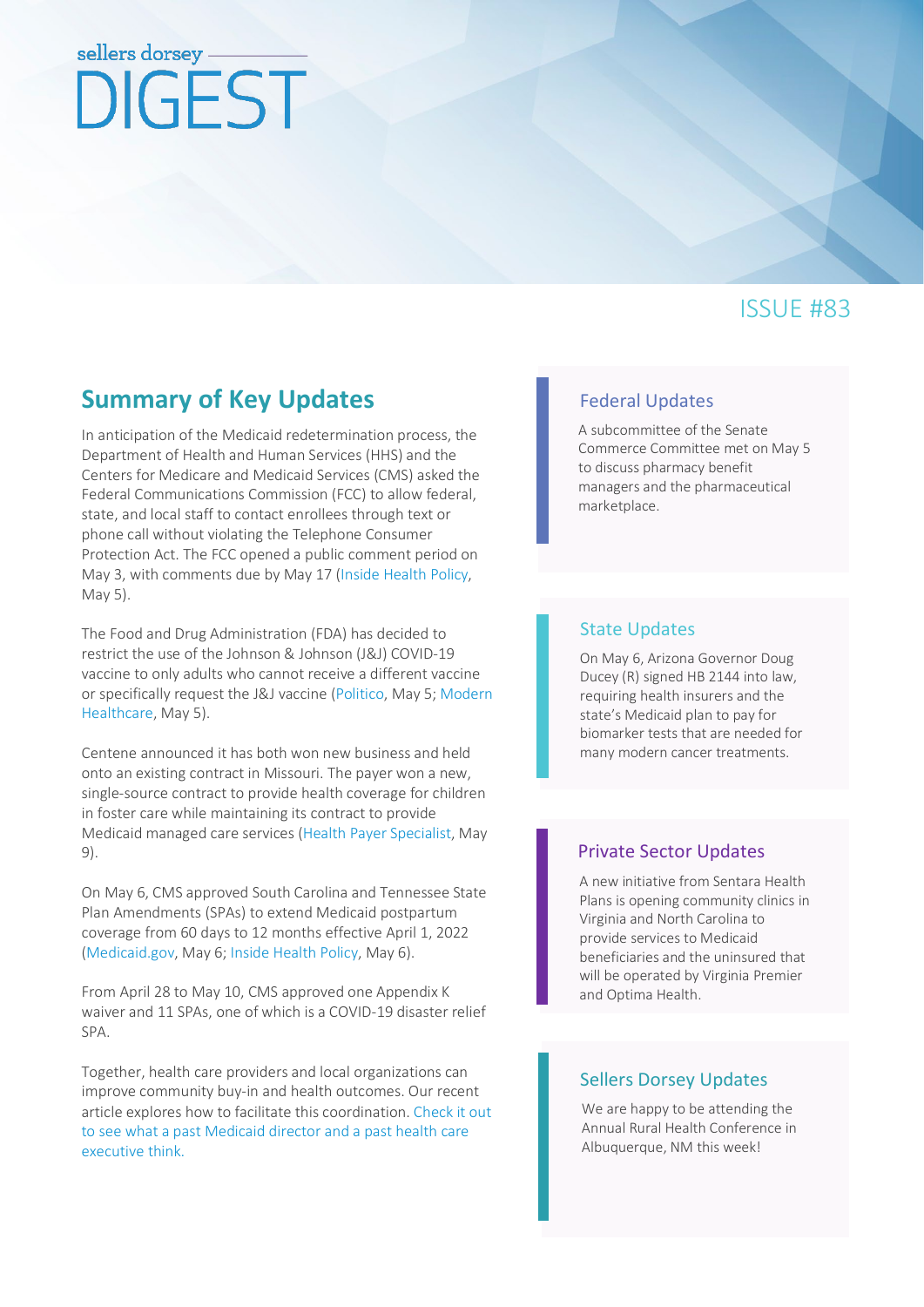# sellers dorsey DIGEST

# ISSUE #83

# **Summary of Key Updates** [Federal Updates](#page-1-0)

In anticipation of the Medicaid redetermination process, the Department of Health and Human Services (HHS) and the Centers for Medicare and Medicaid Services (CMS) asked the Federal Communications Commission (FCC) to allow federal, state, and local staff to contact enrollees through text or phone call without violating the Telephone Consumer Protection Act. The FCC opened a public comment period on May 3, with comments due by May 17 [\(Inside Health Policy,](https://insidehealthpolicy.com/daily-news/hhs-fcc-let-mcos-text-call-enrollees-about-redeterminations) May 5).

The Food and Drug Administration (FDA) has decided to restrict the use of the Johnson & Johnson (J&J) COVID-19 vaccine to only adults who cannot receive a different vaccine or specifically request the J&J vaccine [\(Politico,](https://subscriber.politicopro.com/article/2022/05/fda-dramatically-narrows-use-of-johnson-johnson-covid-19-vaccine-00030505) May 5[; Modern](https://www.modernhealthcare.com/safety-quality/fda-restricts-jjs-covid-19-vaccine-due-blood-clot-risk?utm_source=modern-healthcare-am-friday&utm_medium=email&utm_campaign=20220505&utm_content=article3-readmore)  [Healthcare,](https://www.modernhealthcare.com/safety-quality/fda-restricts-jjs-covid-19-vaccine-due-blood-clot-risk?utm_source=modern-healthcare-am-friday&utm_medium=email&utm_campaign=20220505&utm_content=article3-readmore) May 5).

Centene announced it has both won new business and held onto an existing contract in Missouri. The payer won a new, single-source contract to provide health coverage for children in foster care while maintaining its contract to provide Medicaid managed care services [\(Health Payer Specialist,](https://www.healthpayerspecialist.com/c/3599044/461364/centene_lands_medicaid_contract_hangs_another?referrer_module=emailMorningNews&module_order=1&code=YkdGc2JHVnVRSE5sYkd4bGNuTmtiM0p6WlhrdVkyOXRMQ0F4TXprNE9EQTJNeXdnTWpFeE1UY3lNREkwTVE9PQ) May 9).

On May 6, CMS approved South Carolina and Tennessee State Plan Amendments (SPAs) to extend Medicaid postpartum coverage from 60 days to 12 months effective April 1, 2022 [\(Medicaid.gov,](https://content.govdelivery.com/accounts/USCMSMEDICAID/bulletins/316aaf1) May 6[; Inside Health Policy,](https://insidehealthpolicy.com/daily-news/cms-approves-12-months-post-partum-coverage-tn-sc) May 6).

From April 28 to May 10, CMS approved one Appendix K waiver and 11 SPAs, one of which is a COVID-19 disaster relief SPA.

Together, health care providers and local organizations can improve community buy-in and health outcomes. Our recent article explores how to facilitate this coordination[. Check it out](https://www.sellersdorsey.com/news-resources/announcements/four-strategies-organizations-can-use-to-accelerate-health-equity/)  [to see what a past Medicaid director and a past health care](https://www.sellersdorsey.com/news-resources/announcements/four-strategies-organizations-can-use-to-accelerate-health-equity/)  [executive think.](https://www.sellersdorsey.com/news-resources/announcements/four-strategies-organizations-can-use-to-accelerate-health-equity/)

A subcommittee of the Senate Commerce Committee met on May 5 to discuss pharmacy benefit managers and the pharmaceutical marketplace.

#### [State Updates](#page-2-0)

On May 6, Arizona Governor Doug Ducey (R) signed HB 2144 into law, requiring health insurers and the state's Medicaid plan to pay for biomarker tests that are needed for many modern cancer treatments.

### [Private Sector Updates](#page-4-0)

A new initiative from Sentara Health Plans is opening community clinics in Virginia and North Carolina to provide services to Medicaid beneficiaries and the uninsured that will be operated by Virginia Premier and Optima Health.

#### [Sellers Dorsey Updates](#page-4-1)

We are happy to be attending the Annual Rural Health Conference in Albuquerque, NM this week!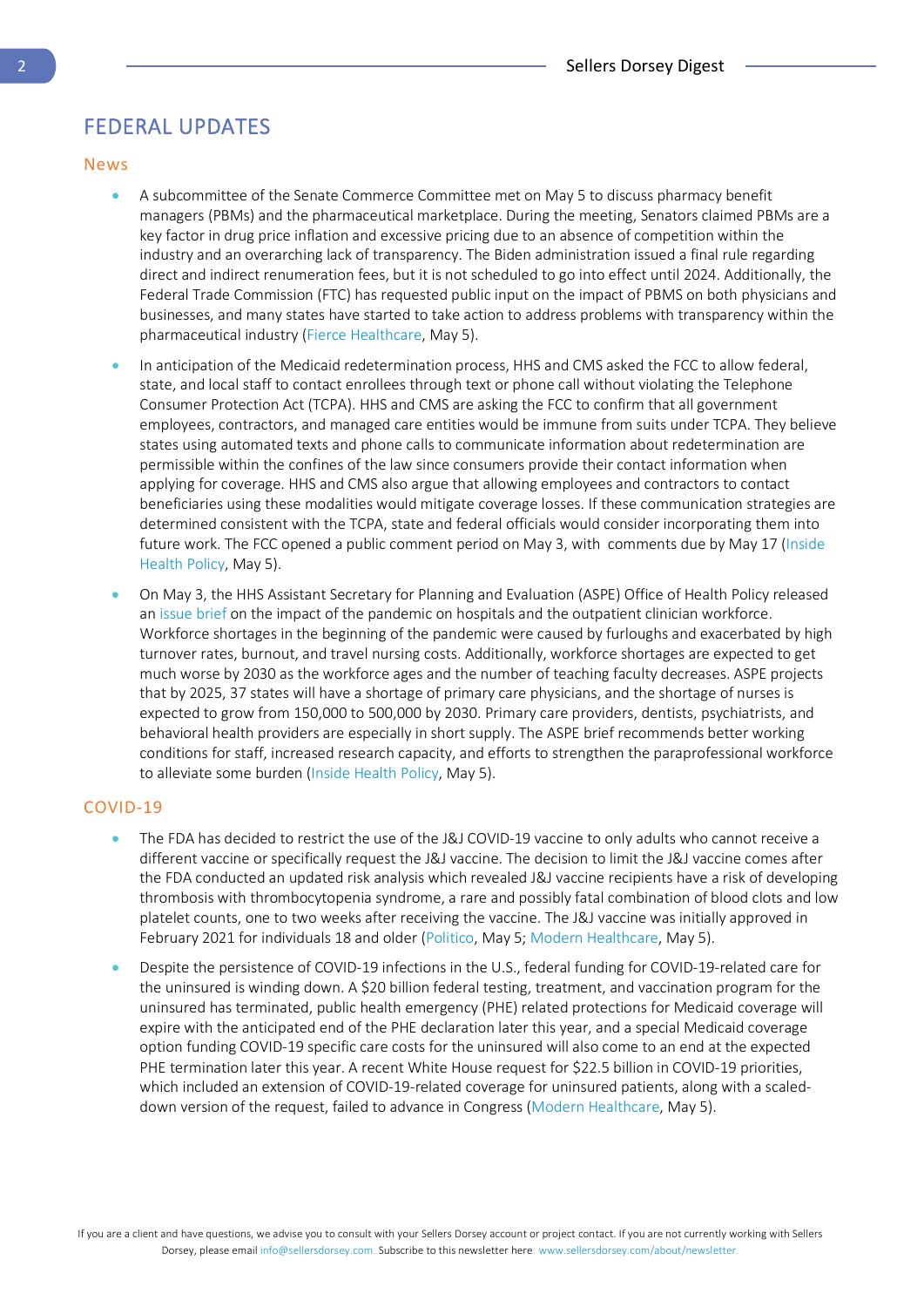# <span id="page-1-0"></span>FEDERAL UPDATES

#### News

- A subcommittee of the Senate Commerce Committee met on May 5 to discuss pharmacy benefit managers (PBMs) and the pharmaceutical marketplace. During the meeting, Senators claimed PBMs are a key factor in drug price inflation and excessive pricing due to an absence of competition within the industry and an overarching lack of transparency. The Biden administration issued a final rule regarding direct and indirect renumeration fees, but it is not scheduled to go into effect until 2024. Additionally, the Federal Trade Commission (FTC) has requested public input on the impact of PBMS on both physicians and businesses, and many states have started to take action to address problems with transparency within the pharmaceutical industry [\(Fierce Healthcare,](https://www.fiercehealthcare.com/payers/senators-decry-lack-sunlight-pbm-processes-push-reforms-transparency) May 5).
- In anticipation of the Medicaid redetermination process, HHS and CMS asked the FCC to allow federal, state, and local staff to contact enrollees through text or phone call without violating the Telephone Consumer Protection Act (TCPA). HHS and CMS are asking the FCC to confirm that all government employees, contractors, and managed care entities would be immune from suits under TCPA. They believe states using automated texts and phone calls to communicate information about redetermination are permissible within the confines of the law since consumers provide their contact information when applying for coverage. HHS and CMS also argue that allowing employees and contractors to contact beneficiaries using these modalities would mitigate coverage losses. If these communication strategies are determined consistent with the TCPA, state and federal officials would consider incorporating them into future work. The FCC opened a public comment period on May 3, with comments due by May 17 [\(Inside](https://insidehealthpolicy.com/daily-news/hhs-fcc-let-mcos-text-call-enrollees-about-redeterminations)  [Health Policy,](https://insidehealthpolicy.com/daily-news/hhs-fcc-let-mcos-text-call-enrollees-about-redeterminations) May 5).
- On May 3, the HHS Assistant Secretary for Planning and Evaluation (ASPE) Office of Health Policy released an [issue brief](https://insidehealthpolicy.com/sites/insidehealthpolicy.com/files/documents/2022/may/he2022_1174.pdf) on the impact of the pandemic on hospitals and the outpatient clinician workforce. Workforce shortages in the beginning of the pandemic were caused by furloughs and exacerbated by high turnover rates, burnout, and travel nursing costs. Additionally, workforce shortages are expected to get much worse by 2030 as the workforce ages and the number of teaching faculty decreases. ASPE projects that by 2025, 37 states will have a shortage of primary care physicians, and the shortage of nurses is expected to grow from 150,000 to 500,000 by 2030. Primary care providers, dentists, psychiatrists, and behavioral health providers are especially in short supply. The ASPE brief recommends better working conditions for staff, increased research capacity, and efforts to strengthen the paraprofessional workforce to alleviate some burden [\(Inside Health Policy,](https://insidehealthpolicy.com/daily-news/aspe-reports-health-care-workforce-shortages-will-worsen-2030?destination=node/128222) May 5).

#### COVID-19

- The FDA has decided to restrict the use of the J&J COVID-19 vaccine to only adults who cannot receive a different vaccine or specifically request the J&J vaccine. The decision to limit the J&J vaccine comes after the FDA conducted an updated risk analysis which revealed J&J vaccine recipients have a risk of developing thrombosis with thrombocytopenia syndrome, a rare and possibly fatal combination of blood clots and low platelet counts, one to two weeks after receiving the vaccine. The J&J vaccine was initially approved in February 2021 for individuals 18 and older [\(Politico,](https://subscriber.politicopro.com/article/2022/05/fda-dramatically-narrows-use-of-johnson-johnson-covid-19-vaccine-00030505) May 5[; Modern Healthcare,](https://www.modernhealthcare.com/safety-quality/fda-restricts-jjs-covid-19-vaccine-due-blood-clot-risk?utm_source=modern-healthcare-am-friday&utm_medium=email&utm_campaign=20220505&utm_content=article3-readmore) May 5).
- Despite the persistence of COVID-19 infections in the U.S., federal funding for COVID-19-related care for the uninsured is winding down. A \$20 billion federal testing, treatment, and vaccination program for the uninsured has terminated, public health emergency (PHE) related protections for Medicaid coverage will expire with the anticipated end of the PHE declaration later this year, and a special Medicaid coverage option funding COVID-19 specific care costs for the uninsured will also come to an end at the expected PHE termination later this year. A recent White House request for \$22.5 billion in COVID-19 priorities, which included an extension of COVID-19-related coverage for uninsured patients, along with a scaleddown version of the request, failed to advance in Congress [\(Modern Healthcare,](https://www.modernhealthcare.com/safety-net-hospitals/covid-coverage-all-dries-up-even-hospital-costs-rise?utm_source=modern-healthcare-covid-19-coverage&utm_medium=email&utm_campaign=20220506&utm_content=article2-readmore) May 5).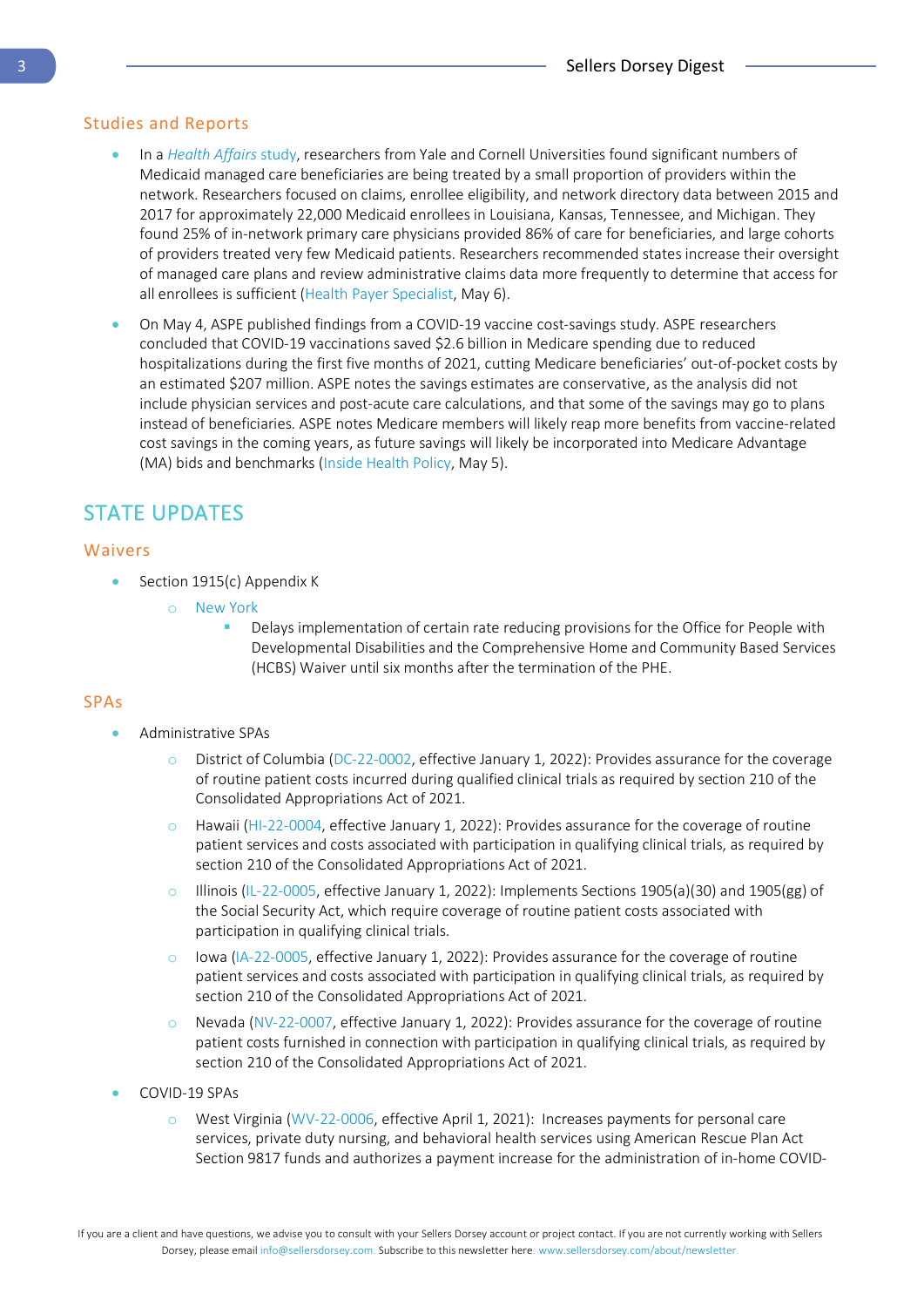#### Studies and Reports

- In a *[Health Affairs](https://www.healthaffairs.org/doi/abs/10.1377/hlthaff.2021.01747?journalCode=hlthaff)* study, researchers from Yale and Cornell Universities found significant numbers of Medicaid managed care beneficiaries are being treated by a small proportion of providers within the network. Researchers focused on claims, enrollee eligibility, and network directory data between 2015 and 2017 for approximately 22,000 Medicaid enrollees in Louisiana, Kansas, Tennessee, and Michigan. They found 25% of in-network primary care physicians provided 86% of care for beneficiaries, and large cohorts of providers treated very few Medicaid patients. Researchers recommended states increase their oversight of managed care plans and review administrative claims data more frequently to determine that access for all enrollees is sufficient [\(Health Payer Specialist,](https://www.healthpayerspecialist.com/c/3597134/460914/medicaid_care_concentrated_hands?referrer_module=emailMorningNews&module_order=14&code=YkdGc2JHVnVRSE5sYkd4bGNuTmtiM0p6WlhrdVkyOXRMQ0F4TXprNE9EQTJNeXdnTVRBMU16UXhORGt6Tnc9PQ) May 6).
- On May 4, ASPE published findings from a COVID-19 vaccine cost-savings study. ASPE researchers concluded that COVID-19 vaccinations saved \$2.6 billion in Medicare spending due to reduced hospitalizations during the first five months of 2021, cutting Medicare beneficiaries' out-of-pocket costs by an estimated \$207 million. ASPE notes the savings estimates are conservative, as the analysis did not include physician services and post-acute care calculations, and that some of the savings may go to plans instead of beneficiaries. ASPE notes Medicare members will likely reap more benefits from vaccine-related cost savings in the coming years, as future savings will likely be incorporated into Medicare Advantage (MA) bids and benchmarks [\(Inside Health Policy,](https://insidehealthpolicy.com/daily-news/aspe-covid-vaccines-saved-26b-cutting-medicare-hospital-stays) May 5).

## <span id="page-2-0"></span>STATE UPDATES

#### Waivers

- Section 1915(c) Appendix K
	- o [New York](https://www.medicaid.gov/state-resource-center/downloads/ny-0238-6-appendix-k-appvl.pdf)
		- Delays implementation of certain rate reducing provisions for the Office for People with Developmental Disabilities and the Comprehensive Home and Community Based Services (HCBS) Waiver until six months after the termination of the PHE.

#### SPAs

- Administrative SPAs
	- o District of Columbia [\(DC-22-0002,](https://www.medicaid.gov/medicaid/spa/downloads/DC-22-0002.pdf) effective January 1, 2022): Provides assurance for the coverage of routine patient costs incurred during qualified clinical trials as required by section 210 of the Consolidated Appropriations Act of 2021.
	- o Hawaii [\(HI-22-0004,](https://www.medicaid.gov/medicaid/spa/downloads/HI-22-0004.pdf) effective January 1, 2022): Provides assurance for the coverage of routine patient services and costs associated with participation in qualifying clinical trials, as required by section 210 of the Consolidated Appropriations Act of 2021.
	- o Illinois [\(IL-22-0005,](https://www.medicaid.gov/medicaid/spa/downloads/IL-22-0005.pdf) effective January 1, 2022): Implements Sections 1905(a)(30) and 1905(gg) of the Social Security Act, which require coverage of routine patient costs associated with participation in qualifying clinical trials.
	- lowa [\(IA-22-0005,](https://www.medicaid.gov/medicaid/spa/downloads/IA-22-0005.pdf) effective January 1, 2022): Provides assurance for the coverage of routine patient services and costs associated with participation in qualifying clinical trials, as required by section 210 of the Consolidated Appropriations Act of 2021.
	- Nevada [\(NV-22-0007,](https://www.medicaid.gov/medicaid/spa/downloads/NV-22-0007.pdf) effective January 1, 2022): Provides assurance for the coverage of routine patient costs furnished in connection with participation in qualifying clinical trials, as required by section 210 of the Consolidated Appropriations Act of 2021.
- COVID-19 SPAs
	- West Virginia [\(WV-22-0006,](https://www.medicaid.gov/medicaid/spa/downloads/wv-22-0006.pdf) effective April 1, 2021): Increases payments for personal care services, private duty nursing, and behavioral health services using American Rescue Plan Act Section 9817 funds and authorizes a payment increase for the administration of in-home COVID-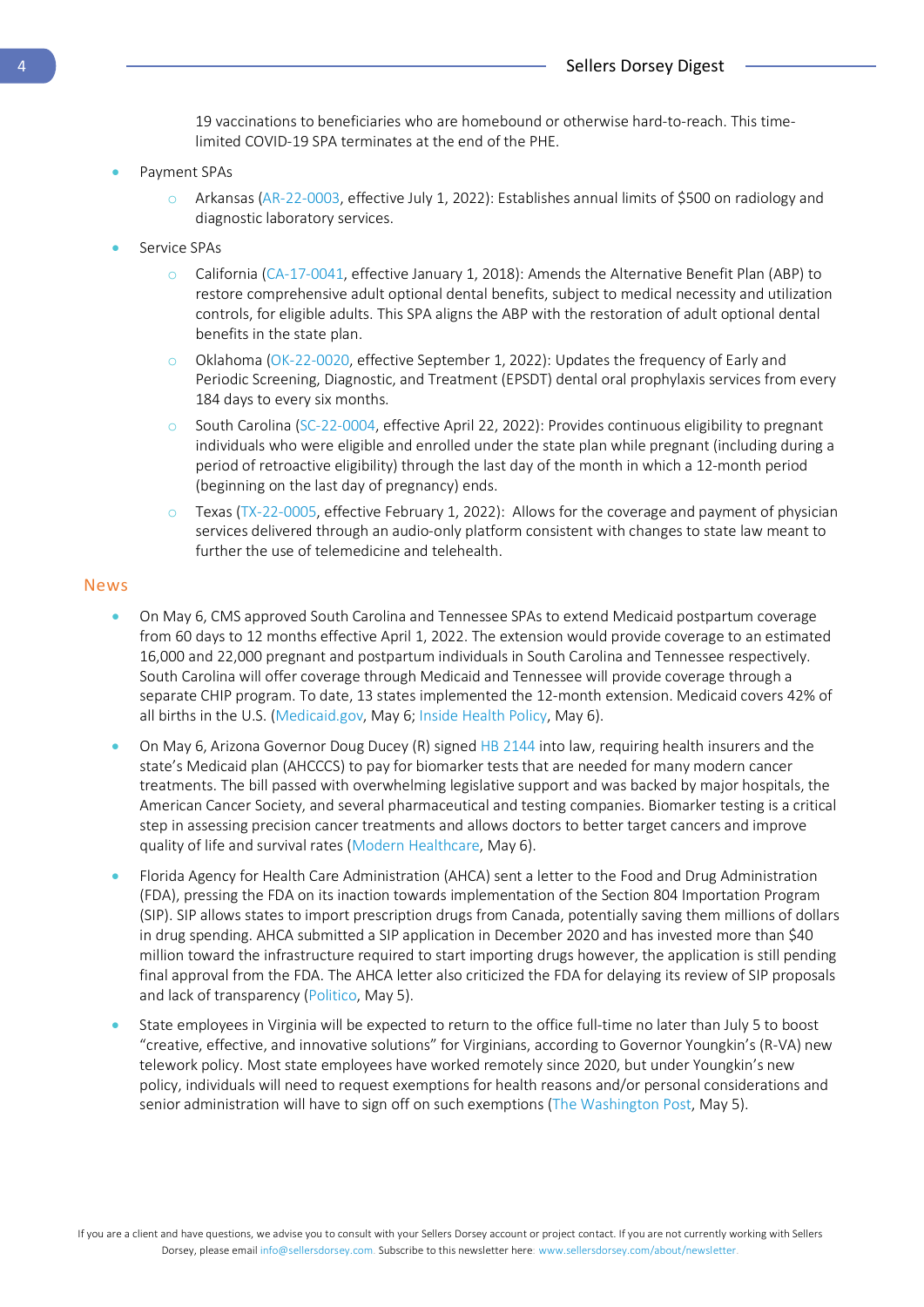19 vaccinations to beneficiaries who are homebound or otherwise hard-to-reach. This timelimited COVID-19 SPA terminates at the end of the PHE.

- Payment SPAs
	- o Arkansas [\(AR-22-0003,](https://www.medicaid.gov/medicaid/spa/downloads/AR-22-0003.pdf) effective July 1, 2022): Establishes annual limits of \$500 on radiology and diagnostic laboratory services.
- Service SPAs
	- o California [\(CA-17-0041,](https://www.medicaid.gov/medicaid/spa/downloads/CA-17-0041.pdf) effective January 1, 2018): Amends the Alternative Benefit Plan (ABP) to restore comprehensive adult optional dental benefits, subject to medical necessity and utilization controls, for eligible adults. This SPA aligns the ABP with the restoration of adult optional dental benefits in the state plan.
	- o Oklahoma [\(OK-22-0020,](https://www.medicaid.gov/medicaid/spa/downloads/OK-22-0020.pdf) effective September 1, 2022): Updates the frequency of Early and Periodic Screening, Diagnostic, and Treatment (EPSDT) dental oral prophylaxis services from every 184 days to every six months.
	- o South Carolina [\(SC-22-0004,](https://www.medicaid.gov/medicaid/spa/downloads/SC-22-0004.pdf) effective April 22, 2022): Provides continuous eligibility to pregnant individuals who were eligible and enrolled under the state plan while pregnant (including during a period of retroactive eligibility) through the last day of the month in which a 12-month period (beginning on the last day of pregnancy) ends.
	- o Texas [\(TX-22-0005,](https://www.medicaid.gov/medicaid/spa/downloads/TX-22-0005.pdf) effective February 1, 2022): Allows for the coverage and payment of physician services delivered through an audio-only platform consistent with changes to state law meant to further the use of telemedicine and telehealth.

#### News

- On May 6, CMS approved South Carolina and Tennessee SPAs to extend Medicaid postpartum coverage from 60 days to 12 months effective April 1, 2022. The extension would provide coverage to an estimated 16,000 and 22,000 pregnant and postpartum individuals in South Carolina and Tennessee respectively. South Carolina will offer coverage through Medicaid and Tennessee will provide coverage through a separate CHIP program. To date, 13 states implemented the 12-month extension. Medicaid covers 42% of all births in the U.S. [\(Medicaid.gov,](https://content.govdelivery.com/accounts/USCMSMEDICAID/bulletins/316aaf1) May 6; [Inside Health Policy,](https://insidehealthpolicy.com/daily-news/cms-approves-12-months-post-partum-coverage-tn-sc) May 6).
- On May 6, Arizona Governor Doug Ducey (R) signe[d HB 2144](https://www.azleg.gov/legtext/55leg/2R/summary/H.HB2144_041822_SENATEENGROSSED.pdf) into law, requiring health insurers and the state's Medicaid plan (AHCCCS) to pay for biomarker tests that are needed for many modern cancer treatments. The bill passed with overwhelming legislative support and was backed by major hospitals, the American Cancer Society, and several pharmaceutical and testing companies. Biomarker testing is a critical step in assessing precision cancer treatments and allows doctors to better target cancers and improve quality of life and survival rates [\(Modern Healthcare,](https://www.modernhealthcare.com/insurance/new-arizona-law-insurance-must-cover-cancer-biomarker-tests?utm_source=modern-healthcare-am&utm_medium=email&utm_campaign=20220508&utm_content=article6-readmore) May 6).
- Florida Agency for Health Care Administration (AHCA) sent a letter to the Food and Drug Administration (FDA), pressing the FDA on its inaction towards implementation of the Section 804 Importation Program (SIP). SIP allows states to import prescription drugs from Canada, potentially saving them millions of dollars in drug spending. AHCA submitted a SIP application in December 2020 and has invested more than \$40 million toward the infrastructure required to start importing drugs however, the application is still pending final approval from the FDA. The AHCA letter also criticized the FDA for delaying its review of SIP proposals and lack of transparency [\(Politico,](https://subscriber.politicopro.com/article/2022/05/ahca-presses-fda-again-for-answers-on-canadian-drug-import-program-00030538) May 5).
- State employees in Virginia will be expected to return to the office full-time no later than July 5 to boost "creative, effective, and innovative solutions" for Virginians, according to Governor Youngkin's (R-VA) new telework policy. Most state employees have worked remotely since 2020, but under Youngkin's new policy, individuals will need to request exemptions for health reasons and/or personal considerations and senior administration will have to sign off on such exemptions [\(The Washington Post,](https://www.washingtonpost.com/dc-md-va/2022/05/05/youngkin-virginia-covid-office-telework/?utm_campaign=wp_local_headlines&utm_medium=email&utm_source=newsletter&wpisrc=nl_lclheads&carta-url=https%3A%2F%2Fs2.washingtonpost.com%2Fcar-ln-tr%2F36c4f86%2F6275017a956121755a67f8a0%2F5f36eafdade4e274f2babc85%2F11%2F49%2F6275017a956121755a67f8a0) May 5).